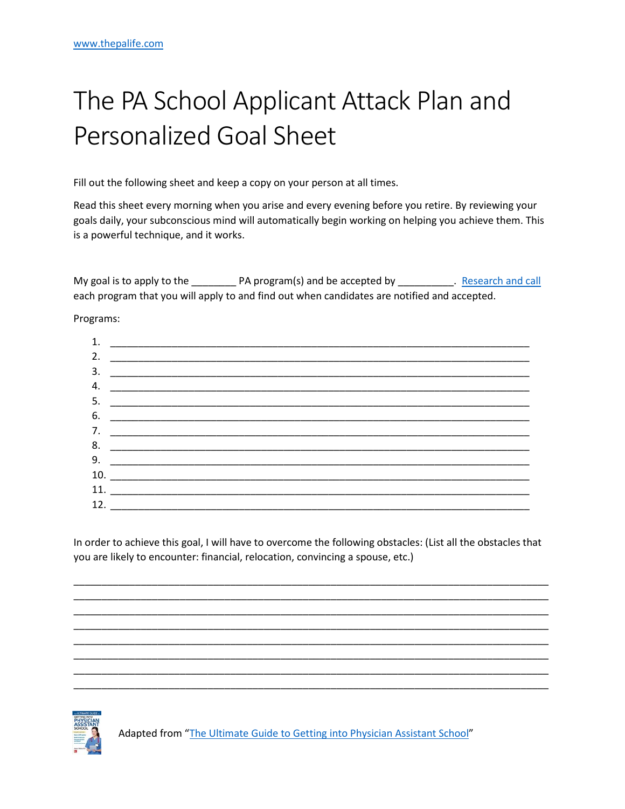## The PA School Applicant Attack Plan and Personalized Goal Sheet

Fill out the following sheet and keep a copy on your person at all times.

Read this sheet every morning when you arise and every evening before you retire. By reviewing your goals daily, your subconscious mind will automatically begin working on helping you achieve them. This is a powerful technique, and it works.

each program that you will apply to and find out when candidates are notified and accepted.

Programs:

| 1.  |                                                                                                                                                                                                                                                                                                                                                                                                                                                       |
|-----|-------------------------------------------------------------------------------------------------------------------------------------------------------------------------------------------------------------------------------------------------------------------------------------------------------------------------------------------------------------------------------------------------------------------------------------------------------|
| 2.  |                                                                                                                                                                                                                                                                                                                                                                                                                                                       |
| 3.  |                                                                                                                                                                                                                                                                                                                                                                                                                                                       |
| 4.  |                                                                                                                                                                                                                                                                                                                                                                                                                                                       |
| 5.  |                                                                                                                                                                                                                                                                                                                                                                                                                                                       |
| 6.  |                                                                                                                                                                                                                                                                                                                                                                                                                                                       |
| 7.  |                                                                                                                                                                                                                                                                                                                                                                                                                                                       |
| 8.  |                                                                                                                                                                                                                                                                                                                                                                                                                                                       |
| 9.  |                                                                                                                                                                                                                                                                                                                                                                                                                                                       |
| 10. | $\begin{tabular}{ccccc} \multicolumn{2}{c }{\textbf{1} & \multicolumn{2}{c }{\textbf{2} & \multicolumn{2}{c }{\textbf{3} & \multicolumn{2}{c }{\textbf{4} & \multicolumn{2}{c }{\textbf{5} & \multicolumn{2}{c }{\textbf{6} & \multicolumn{2}{c }{\textbf{6} & \multicolumn{2}{c }{\textbf{6} & \multicolumn{2}{c }{\textbf{6} & \multicolumn{2}{c }{\textbf{6} & \multicolumn{2}{c }{\textbf{6} & \multicolumn{2}{c }{\textbf{6} & \multicolumn{2}{$ |
|     | 11.                                                                                                                                                                                                                                                                                                                                                                                                                                                   |
|     | 12. $\frac{1}{2}$                                                                                                                                                                                                                                                                                                                                                                                                                                     |

In order to achieve this goal, I will have to overcome the following obstacles: (List all the obstacles that you are likely to encounter: financial, relocation, convincing a spouse, etc.)



Adapted from "The Ultimate Guide to Getting into Physician Assistant School"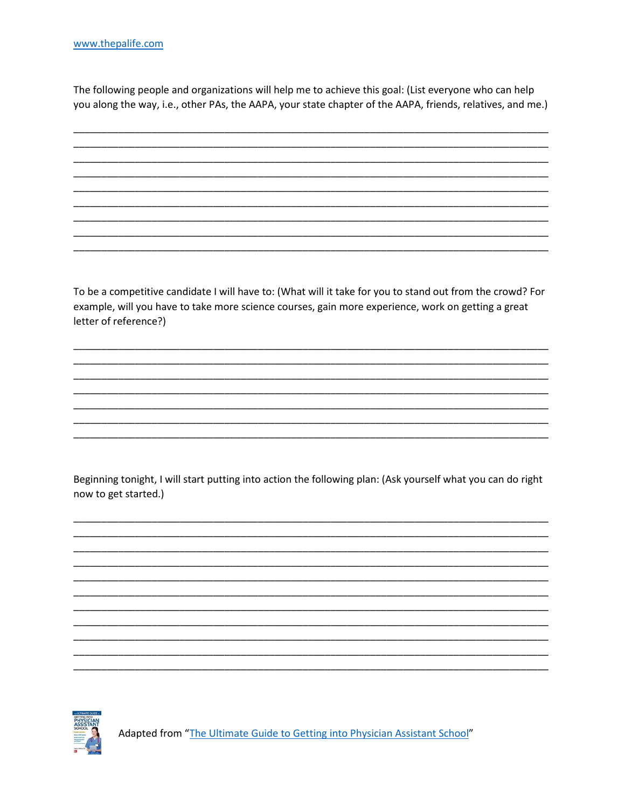The following people and organizations will help me to achieve this goal: (List everyone who can help you along the way, i.e., other PAs, the AAPA, your state chapter of the AAPA, friends, relatives, and me.)

To be a competitive candidate I will have to: (What will it take for you to stand out from the crowd? For example, will you have to take more science courses, gain more experience, work on getting a great letter of reference?)

Beginning tonight, I will start putting into action the following plan: (Ask yourself what you can do right now to get started.)



Adapted from "The Ultimate Guide to Getting into Physician Assistant School"